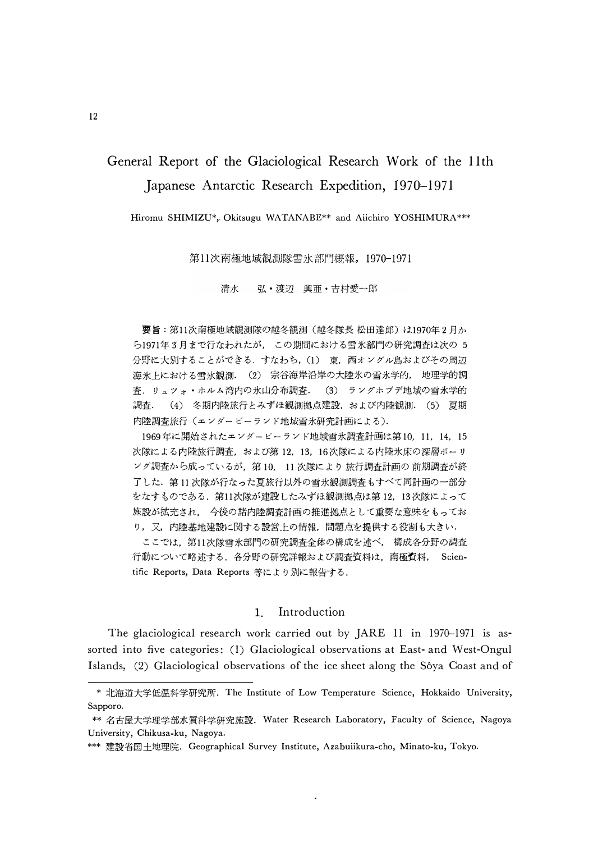# General Report of the Glaciological Research Work of the 11th Japanese Antarctic Research Expedition, 1970–1971

Hiromu SHIMIZU\*, Okitsugu WATANABE\*\* and Aiichiro YOSHIMURA\*\*\*

第11次南極地域観測隊雪氷部門概報, 1970-1971

清水 弘·渡辺 興亜·吉村愛一郎

要旨:第11次南極地域観測隊の越冬観測(越冬隊長 松田達郎)は1970年2月か ら1971年3月まで行なわれたが、この期間における雪氷部門の研究調査は次の5 分野に大別することができる. すなわち, (1) 東, 西オングル島およびその周辺 海氷上における雪氷観測. (2) 宗谷海岸沿岸の大陸氷の雪氷学的, 地理学的調 査. リュツォ・ホルム湾内の氷山分布調査. (3) ラングホブデ地域の雪氷学的 (4) 冬期内陸旅行とみずほ観測拠点建設、および内陸観測. (5) 夏期 調査. 内陸調査旅行 (エンダービーランド地域雪氷研究計画による).

1969年に開始されたエンダービーランド地域雪氷調査計画は第10, 11, 14, 15 次隊による内陸旅行調査,および第12,13,16次隊による内陸氷床の深層ボーリ ング調査から成っているが、第10, 11次隊により旅行調査計画の前期調査が終 了した. 第11次隊が行なった夏旅行以外の雪氷観測調査もすべて同計画の一部分 をなすものである. 第11次隊が建設したみずほ観測拠点は第12,13次隊によって 施設が拡充され、 今後の諸内陸調査計画の推進拠点として重要な意味をもってお り, 又, 内陸基地建設に関する設営上の情報, 問題点を提供する役割も大きい.

ここでは、第11次隊雪氷部門の研究調査全体の構成を述べ、構成各分野の調査 行動について略述する.各分野の研究詳報および調査資料は,南極資料, Scientific Reports, Data Reports 等により別に報告する.

#### Introduction  $\mathbf{1}$

The glaciological research work carried out by JARE 11 in 1970–1971 is assorted into five categories: (1) Glaciological observations at East- and West-Ongul Islands, (2) Glaciological observations of the ice sheet along the Sôya Coast and of

 $\hat{\textbf{z}}$ 

<sup>\*</sup> 北海道大学低温科学研究所. The Institute of Low Temperature Science, Hokkaido University, Sapporo.

<sup>\*\*</sup> 名古屋大学理学部水質科学研究施設. Water Research Laboratory, Faculty of Science, Nagoya University, Chikusa-ku, Nagoya.

<sup>\*\*\*</sup> 建設省国土地理院. Geographical Survey Institute, Azabuiikura-cho, Minato-ku, Tokyo.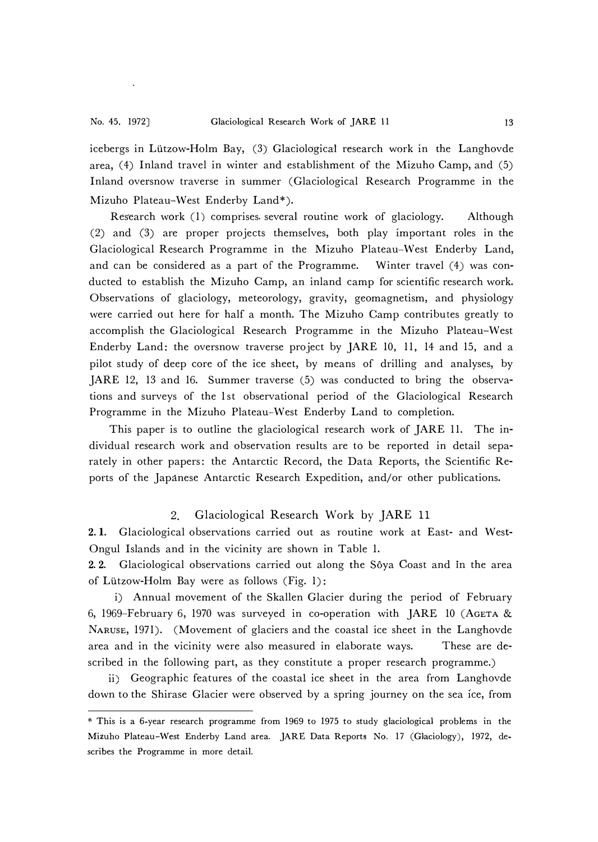icebergs in Lutzow-Holm Bay, (3) Glaciological research work in the Langhovde area,  $(4)$  Inland travel in winter and establishment of the Mizuho Camp, and  $(5)$ Inland oversnow traverse in summer (Glaciological Research Programme in the Mizuho Plateau-West Enderby Land\*).

Research work (1) comprises several routine work of glaciology. Although (2) and (3) are proper projects themselves, both play important roles in the Glaciological Research Programme in the Mizuho Plateau-West Enderby Land, and can be considered as a part of the Programme. Winter travel (4) was conducted to establish the Mizuho Camp, an inland camp for scientific research work. Observations of glaciology, meteorology, gravity, geomagnetism, and physiology were carried out here for half a month. The Mizuho Camp contributes greatly to accomplish the Glaciological Research Programme in the Mizuho Plateau-West Enderby Land: the oversnow traverse project by JARE 10, 11, 14 and 15, and a pilot study of deep core of the ice sheet, by means of drilling and analyses, by JARE 12, 13 and 16. Summer traverse (5) was conducted to bring the observations and surveys of the 1st observational period of the Glaciological Research Programme in the Mizuho Plateau-West Enderby Land to completion.

This paper is to outline the glaciological research work of JARE 11. The individual research work and observation results are to be reported in detail separately in other papers: the Antarctic Record, the Data Reports, the Scientific Reports of the Japanese Antarctic Research Expedition, and/or other publications.

# 2. Glaciological Research Work by JARE 11

2. 1. Glaciological observations carried out as routine work at East- and West-Ongul Islands and in the vicinity are shown in Table 1.

2.2. Glaciological observations carried out along the Sôya Coast and in the area of Lutzow-Holm Bay were as follows (Fig. 1):

i) Annual movement of the Skallen Glacier during the period of February 6, 1969-February 6, 1970 was surveyed in co-operation with JARE 10 (AGETA & NARUSE, 1971). (Movement of glaciers and the coastal ice sheet in the Langhovde area and in the vicinity were also measured in elaborate ways. These are described in the following part, as they constitute a proper research programme.)

ii) Geographic features of the coastal ice sheet in the area from Langhovde down to the Shirase Glacier were observed by a spring journey on the sea ice, from

<sup>\*</sup> This is a 6-year research programme from 1969 to 1975 to study glaciological problems in the Mizuho Plateau-West Enderby Land area. JARE Data Reports No. 17 (Glaciology), 1972, describes the Programme in more detail.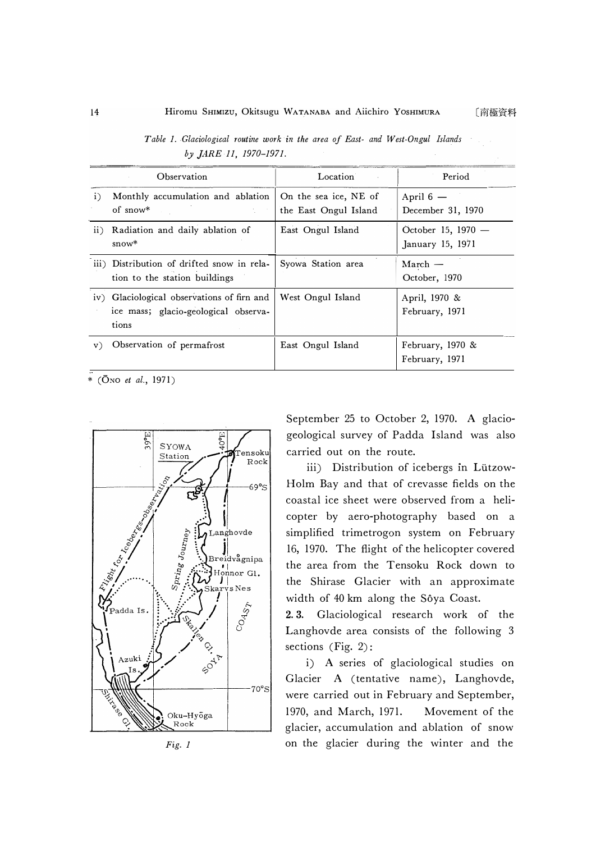|               | Observation                                                                                 | Location                                       | Period                                   |
|---------------|---------------------------------------------------------------------------------------------|------------------------------------------------|------------------------------------------|
| i)            | Monthly accumulation and ablation<br>of snow $*$                                            | On the sea ice, NE of<br>the East Ongul Island | April $6-$<br>December 31, 1970          |
| $\mathbf{ii}$ | Radiation and daily ablation of<br>$snow*$                                                  | East Ongul Island                              | October 15, $1970 -$<br>January 15, 1971 |
|               | iii) Distribution of drifted snow in rela-<br>tion to the station buildings                 | Syowa Station area                             | $March -$<br>October, 1970               |
|               | iv) Glaciological observations of firn and<br>ice mass; glacio-geological observa-<br>tions | West Ongul Island                              | April, 1970 &<br>February, 1971          |
| V)            | Observation of permafrost                                                                   | East Ongul Island                              | February, $1970 \&$<br>February, 1971    |

*Table 1. Glaciological routine work in the area of East- and West-Ongul Islands by ]ARE 11, 1970-1971.* 

\* (ONO *et al.,* 1971)





September 25 to October 2, 1970. A glaciogeological survey of Padda Island was also carried out on the route.

iii) Distribution of icebergs in Lützow-Holm Bay and that of crevasse fields on the coastal ice sheet were observed from a helicopter by aero-photography based on a simplified trimetrogon system on February 16, 1970. The flight of the helicopter covered the area from the Tensoku Rock down to the Shirase Glacier with an approximate width of 40 km along the Sôya Coast.

2. 3. Glaciological research work of the Langhovde area consists of the following 3 sections (Fig. 2):

i) A series of glaciological studies on Glacier A (tentative name), Langhovde, were carried out in February and September, 1970, and March, 1971. Movement of the glacier, accumulation and ablation of snow on the glacier during the winter and the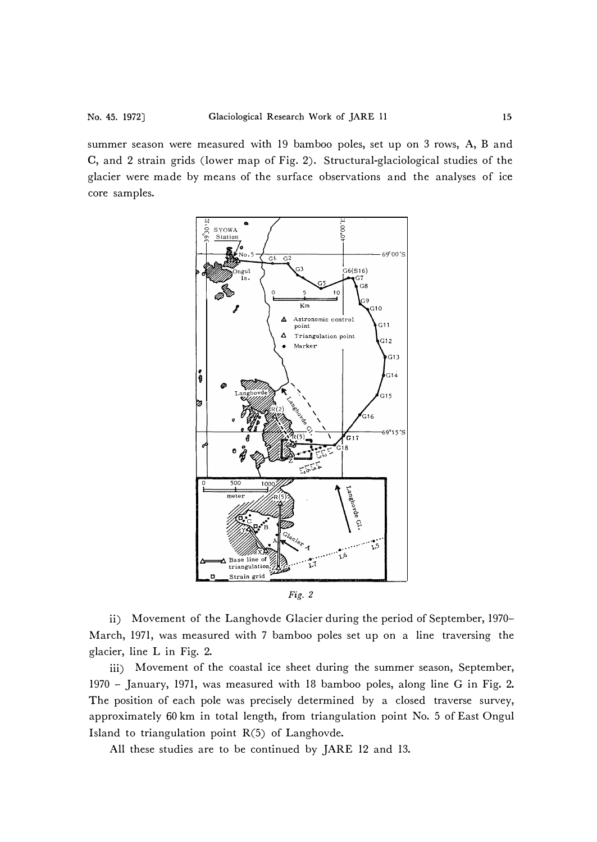summer season were measured with 19 bamboo poles, set up on 3 rows, A, B and C, and 2 strain grids (lower map of Fig. 2). Structural-glaciological studies of the glacier were made by means of the surface observations and the analyses of ice core samples.



ii) Movement of the Langhovde Glacier during the period of September, 1970- March, 1971, was measured with 7 bamboo poles set up on a line traversing the glacier, line L in Fig. 2.

iii) Movement of the coastal ice sheet during the summer season, September, 1970 - January, 1971, was measured with 18 bamboo poles, along line G in Fig. 2. The position of each pole was precisely determined by a closed traverse survey, approximately 60 km in total length, from triangulation point No. 5 of East Ongul Island to triangulation point R(5) of Langhovde.

All these studies are to be continued by JARE 12 and 13.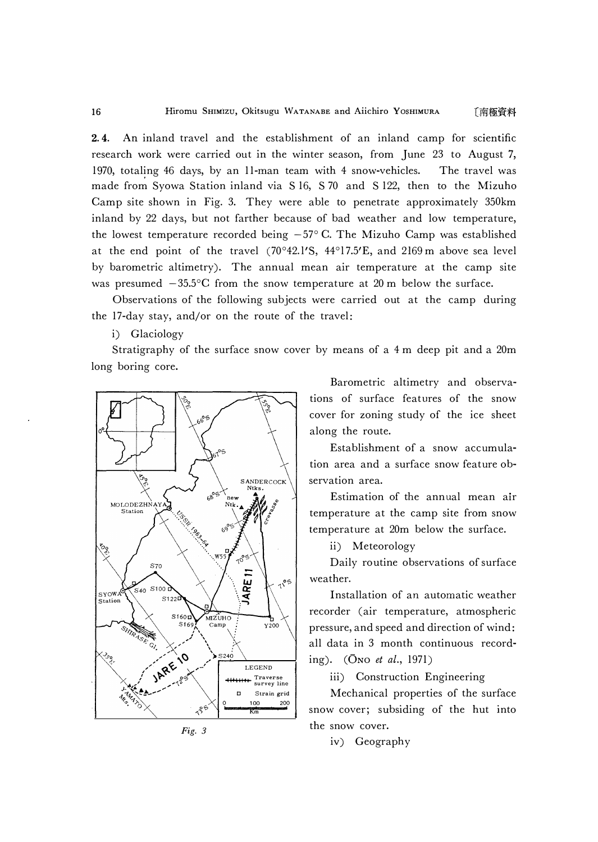2.4. An inland travel and the establishment of an inland camp for scientific research work were carried out in the winter season, from June 23 to August 7, 1970, totaling 46 days, by an 11-man team with 4 snow-vehicles. The travel was made from Syowa Station inland via S 16, S 70 and S 122, then to the Mizuho Camp site shown in Fig. 3. They were able to penetrate approximately 350km inland by 22 days, but not farther because of bad weather and low temperature, the lowest temperature recorded being  $-57^{\circ}$  C. The Mizuho Camp was established at the end point of the travel (70°42.1'S, 44°17.5'E, and 2169 m above sea level by barometric altimetry). The annual mean air temperature at the camp site was presumed  $-35.5$ °C from the snow temperature at 20 m below the surface.

Observations of the following subjects were carried out at the camp during the 17-day stay, and/or on the route of the travel:

i) Glaciology

Stratigraphy of the surface snow cover by means of a 4 m deep pit and a 20m long boring core.





Barometric altimetry and observations of surface features of the snow cover for zoning study of the ice sheet along the route.

Establishment of a snow accumulation area and a surface snow feature observation area.

Estimation of the annual mean air temperature at the camp site from snow temperature at 20m below the surface.

ii) Meteorology

Daily routine observations of surface weather.

Installation of an automatic weather recorder (air temperature, atmospheric pressure, and speed and direction of wind: all data in 3 month continuous recording). (0No *et al.,* 1971)

iii) Construction Engineering

Mechanical properties of the surface snow cover; subsiding of the hut into the snow cover.

iv) Geography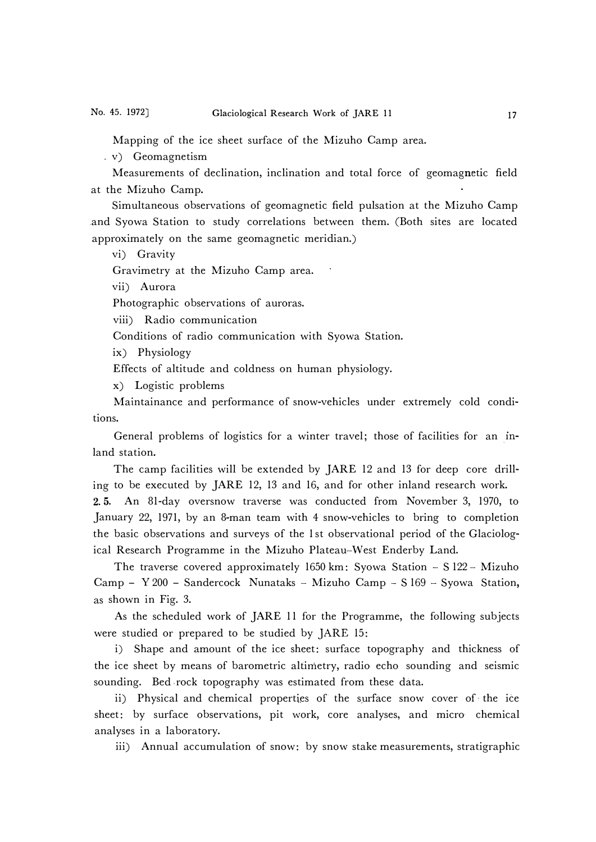Mapping of the ice sheet surface of the Mizuho Camp area.

v) Geomagnetism

Measurements of declination, inclination and total force of geomagnetic field at the Mizuho Camp.

Simultaneous observations of geomagnetic field pulsation at the Mizuho Camp .and Syowa Station to study correlations between them. (Both sites are located approximately on the same geomagnetic meridian.)

vi) Gravity

Gravimetry at the Mizuho Camp area.

vii) Aurora

Photographic observations of auroras.

viii) Radio communication

Conditions of radio communication with Syowa Station.

ix) Physiology

Effects of altitude and coldness on human physiology.

x) Logistic problems

Maintainance and performance of snow-vehicles under extremely cold conditions.

General problems of logistics for a winter travel; those of facilities for an mland station.

The camp facilities will be extended by JARE 12 and 13 for deep core drilling to be executed by JARE 12, 13 and 16, and for other inland research work.

2. 5. An 81-day oversnow traverse was conducted from November 3, 1970, to January 22, 1971, by an 8-man team with 4 snow-vehicles to bring to completion the basic observations and surveys of the 1st observational period of the Glaciological Research Programme in the Mizuho Plateau-West Enderby Land.

The traverse covered approximately 1650 km: Syowa Station  $-$  S 122 - Mizuho Camp - Y 200 - Sandercock Nunataks - Mizuho Camp - S 169 - Syowa Station, as shown in Fig. 3.

As the scheduled work of JARE 11 for the Programme, the following subjects were studied or prepared to be studied by *]ARE* 15:

i) Shape and amount of the ice sheet: surface topography and thickness of the ice sheet by means of barometric altimetry, radio echo sounding and seismic sounding. Bed rock topography was estimated from these data.

ii) Physical and chemical properties of the surface snow cover of the ice sheet: by surface observations, pit work, core analyses, and micro chemical analyses in a laboratory.

iii) Annual accumulation of snow: by snow stake measurements, stratigraphic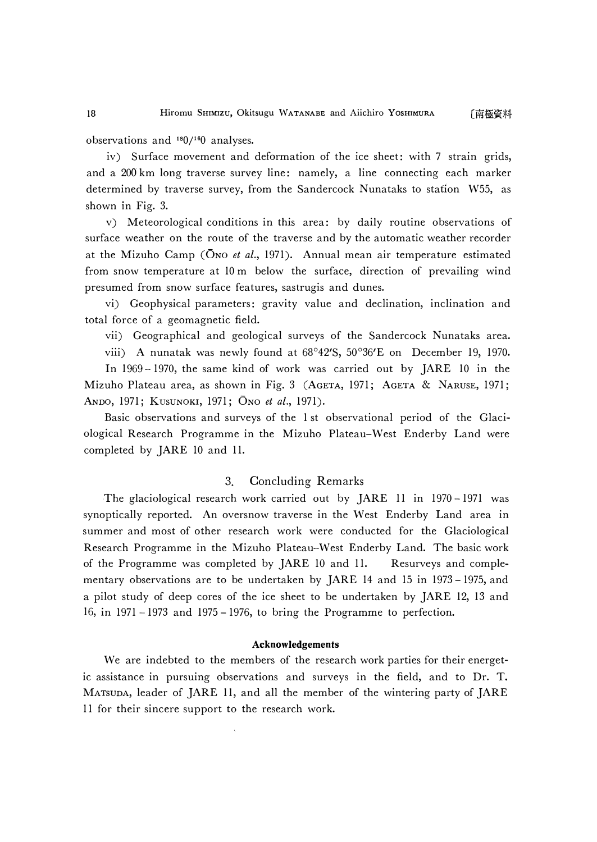observations and 180/<sup>16</sup>0 analyses.

iv) Surface movement and deformation of the ice sheet: with 7 strain grids, and a 200 km long traverse survey line: namely, a line connecting each marker determined by traverse survey, from the Sandercock Nunataks to station W55, as shown in Fig. 3.

v) Meteorological conditions in this area: by daily routine observations of surface weather on the route of the traverse and by the automatic weather recorder at the Mizuho Camp (ONO *et al.,* 1971). Annual mean air temperature estimated from snow temperature at 10 m below the surface, direction of prevailing wind presumed from snow surface features, sastrugis and dunes.

vi) Geophysical parameters: gravity value and declination, inclination and total force of a geomagnetic field.

vii) Geographical and geological surveys of the Sandercock Nunataks area.

viii) A nunatak was newly found at 68 **°** 42'S, 50**°** 36'E on December 19, 1970.

In 1969 -1970, the same kind of work was carried out by *]ARE* 10 in the Mizuho Plateau area, as shown in Fig. 3 (AGETA, 1971; AGETA & NARUSE, 1971; ANDO, 1971; KusUNOKI, 1971; ONo *et al.,* 1971).

Basic observations and surveys of the 1 st observational period of the Glaciological Research Programme in the Mizuho Plateau- West Enderby Land were completed by JARE 10 and 11.

# 3. Concluding Remarks

The glaciological research work carried out by JARE 11 in 1970-1971 was synoptically reported. An oversnow traverse in the West Enderby Land area in summer and most of other research work were conducted for the Glaciological Research Programme in the Mizuho Plateau-West Enderby Land. The basic work of the Programme was completed by JARE 10 and 11. Resurveys and complementary observations are to be undertaken by JARE 14 and 15 in 1973 - 1975, and a pilot study of deep cores of the ice sheet to be undertaken by JARE 12, 13 and 16, in 1971 -1973 and 1975 - 1976, to bring the Programme to perfection.

### **Acknowledgements**

We are indebted to the members of the research work parties for their energetic assistance in pursuing observations and surveys in the field, and to Dr. T. MATSUDA, leader of JARE 11, and all the member of the wintering party of JARE 11 for their sincere support to the research work.